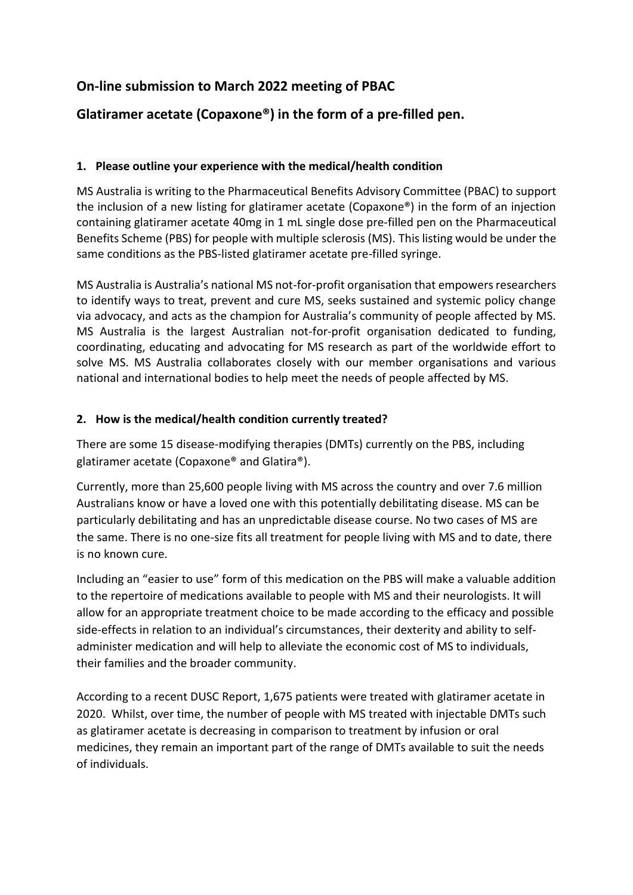## **On-line submission to March 2022 meeting of PBAC**

# **Glatiramer acetate (Copaxone®) in the form of a pre-filled pen.**

## **1. Please outline your experience with the medical/health condition**

MS Australia is writing to the Pharmaceutical Benefits Advisory Committee (PBAC) to support the inclusion of a new listing for glatiramer acetate (Copaxone®) in the form of an injection containing glatiramer acetate 40mg in 1 mL single dose pre-filled pen on the Pharmaceutical Benefits Scheme (PBS) for people with multiple sclerosis (MS). This listing would be under the same conditions as the PBS-listed glatiramer acetate pre-filled syringe.

MS Australia is Australia's national MS not-for-profit organisation that empowers researchers to identify ways to treat, prevent and cure MS, seeks sustained and systemic policy change via advocacy, and acts as the champion for Australia's community of people affected by MS. MS Australia is the largest Australian not-for-profit organisation dedicated to funding, coordinating, educating and advocating for MS research as part of the worldwide effort to solve MS. MS Australia collaborates closely with our member organisations and various national and international bodies to help meet the needs of people affected by MS.

## **2. How is the medical/health condition currently treated?**

There are some 15 disease-modifying therapies (DMTs) currently on the PBS, including glatiramer acetate (Copaxone® and Glatira®).

Currently, more than 25,600 people living with MS across the country and over 7.6 million Australians know or have a loved one with this potentially debilitating disease. MS can be particularly debilitating and has an unpredictable disease course. No two cases of MS are the same. There is no one-size fits all treatment for people living with MS and to date, there is no known cure.

Including an "easier to use" form of this medication on the PBS will make a valuable addition to the repertoire of medications available to people with MS and their neurologists. It will allow for an appropriate treatment choice to be made according to the efficacy and possible side-effects in relation to an individual's circumstances, their dexterity and ability to selfadminister medication and will help to alleviate the economic cost of MS to individuals, their families and the broader community.

According to a recent DUSC Report, 1,675 patients were treated with glatiramer acetate in 2020. Whilst, over time, the number of people with MS treated with injectable DMTs such as glatiramer acetate is decreasing in comparison to treatment by infusion or oral medicines, they remain an important part of the range of DMTs available to suit the needs of individuals.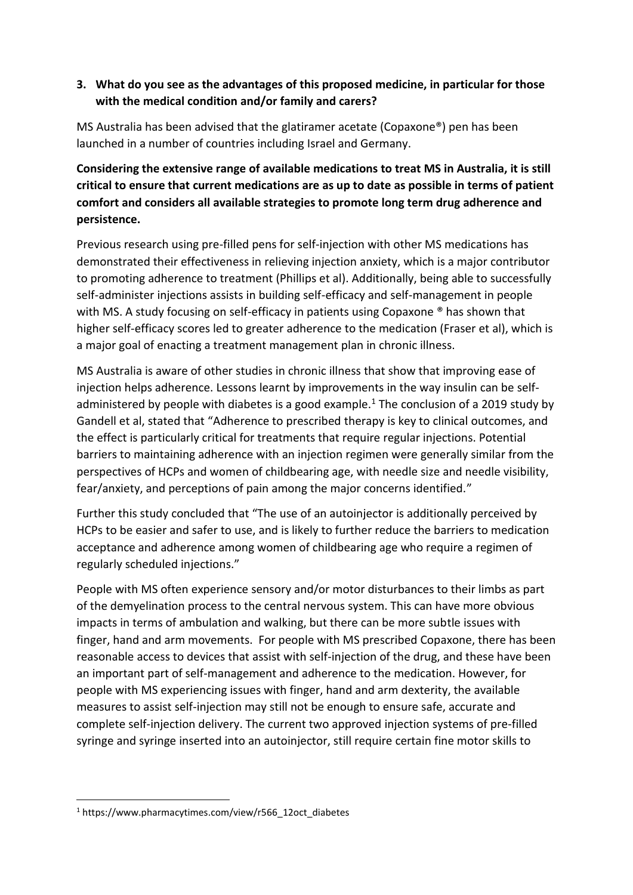## **3. What do you see as the advantages of this proposed medicine, in particular for those with the medical condition and/or family and carers?**

MS Australia has been advised that the glatiramer acetate (Copaxone®) pen has been launched in a number of countries including Israel and Germany.

**Considering the extensive range of available medications to treat MS in Australia, it is still critical to ensure that current medications are as up to date as possible in terms of patient comfort and considers all available strategies to promote long term drug adherence and persistence.**

Previous research using pre-filled pens for self-injection with other MS medications has demonstrated their effectiveness in relieving injection anxiety, which is a major contributor to promoting adherence to treatment (Phillips et al). Additionally, being able to successfully self-administer injections assists in building self-efficacy and self-management in people with MS. A study focusing on self-efficacy in patients using Copaxone ® has shown that higher self-efficacy scores led to greater adherence to the medication (Fraser et al), which is a major goal of enacting a treatment management plan in chronic illness.

MS Australia is aware of other studies in chronic illness that show that improving ease of injection helps adherence. Lessons learnt by improvements in the way insulin can be selfadministered by people with diabetes is a good example.<sup>1</sup> The conclusion of a 2019 study by Gandell et al, stated that "Adherence to prescribed therapy is key to clinical outcomes, and the effect is particularly critical for treatments that require regular injections. Potential barriers to maintaining adherence with an injection regimen were generally similar from the perspectives of HCPs and women of childbearing age, with needle size and needle visibility, fear/anxiety, and perceptions of pain among the major concerns identified."

Further this study concluded that "The use of an autoinjector is additionally perceived by HCPs to be easier and safer to use, and is likely to further reduce the barriers to medication acceptance and adherence among women of childbearing age who require a regimen of regularly scheduled injections."

People with MS often experience sensory and/or motor disturbances to their limbs as part of the demyelination process to the central nervous system. This can have more obvious impacts in terms of ambulation and walking, but there can be more subtle issues with finger, hand and arm movements. For people with MS prescribed Copaxone, there has been reasonable access to devices that assist with self-injection of the drug, and these have been an important part of self-management and adherence to the medication. However, for people with MS experiencing issues with finger, hand and arm dexterity, the available measures to assist self-injection may still not be enough to ensure safe, accurate and complete self-injection delivery. The current two approved injection systems of pre-filled syringe and syringe inserted into an autoinjector, still require certain fine motor skills to

<sup>1</sup> https://www.pharmacytimes.com/view/r566\_12oct\_diabetes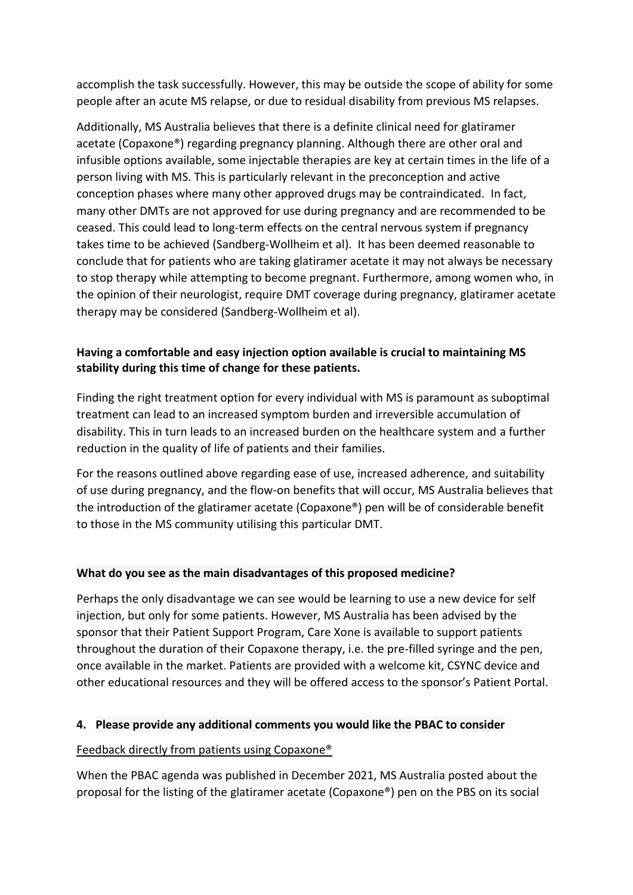accomplish the task successfully. However, this may be outside the scope of ability for some people after an acute MS relapse, or due to residual disability from previous MS relapses.

Additionally, MS Australia believes that there is a definite clinical need for glatiramer acetate (Copaxone®) regarding pregnancy planning. Although there are other oral and infusible options available, some injectable therapies are key at certain times in the life of a person living with MS. This is particularly relevant in the preconception and active conception phases where many other approved drugs may be contraindicated. In fact, many other DMTs are not approved for use during pregnancy and are recommended to be ceased. This could lead to long-term effects on the central nervous system if pregnancy takes time to be achieved (Sandberg-Wollheim et al). It has been deemed reasonable to conclude that for patients who are taking glatiramer acetate it may not always be necessary to stop therapy while attempting to become pregnant. Furthermore, among women who, in the opinion of their neurologist, require DMT coverage during pregnancy, glatiramer acetate therapy may be considered (Sandberg-Wollheim et al).

## **Having a comfortable and easy injection option available is crucial to maintaining MS stability during this time of change for these patients.**

Finding the right treatment option for every individual with MS is paramount as suboptimal treatment can lead to an increased symptom burden and irreversible accumulation of disability. This in turn leads to an increased burden on the healthcare system and a further reduction in the quality of life of patients and their families.

For the reasons outlined above regarding ease of use, increased adherence, and suitability of use during pregnancy, and the flow-on benefits that will occur, MS Australia believes that the introduction of the glatiramer acetate (Copaxone®) pen will be of considerable benefit to those in the MS community utilising this particular DMT.

## **What do you see as the main disadvantages of this proposed medicine?**

Perhaps the only disadvantage we can see would be learning to use a new device for self injection, but only for some patients. However, MS Australia has been advised by the sponsor that their Patient Support Program, Care Xone is available to support patients throughout the duration of their Copaxone therapy, i.e. the pre-filled syringe and the pen, once available in the market. Patients are provided with a welcome kit, CSYNC device and other educational resources and they will be offered access to the sponsor's Patient Portal.

## **4. Please provide any additional comments you would like the PBAC to consider**

## Feedback directly from patients using Copaxone®

When the PBAC agenda was published in December 2021, MS Australia posted about the proposal for the listing of the glatiramer acetate (Copaxone®) pen on the PBS on its social